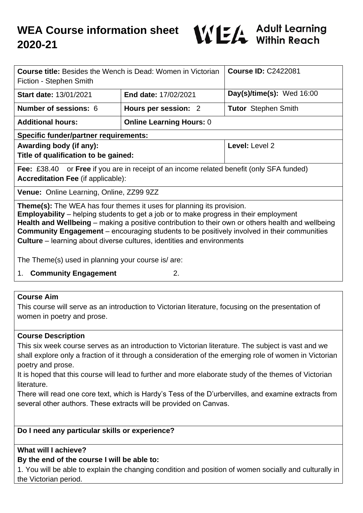

| <b>Course title:</b> Besides the Wench is Dead: Women in Victorian<br>Fiction - Stephen Smith                                                                                                                                                                                                                                                                                                                                                                                  |                                 | <b>Course ID: C2422081</b>  |
|--------------------------------------------------------------------------------------------------------------------------------------------------------------------------------------------------------------------------------------------------------------------------------------------------------------------------------------------------------------------------------------------------------------------------------------------------------------------------------|---------------------------------|-----------------------------|
| <b>Start date: 13/01/2021</b>                                                                                                                                                                                                                                                                                                                                                                                                                                                  | <b>End date: 17/02/2021</b>     | Day(s)/time(s): Wed $16:00$ |
| <b>Number of sessions: 6</b>                                                                                                                                                                                                                                                                                                                                                                                                                                                   | Hours per session: 2            | <b>Tutor</b> Stephen Smith  |
| <b>Additional hours:</b>                                                                                                                                                                                                                                                                                                                                                                                                                                                       | <b>Online Learning Hours: 0</b> |                             |
| <b>Specific funder/partner requirements:</b>                                                                                                                                                                                                                                                                                                                                                                                                                                   |                                 |                             |
| Awarding body (if any):<br>Title of qualification to be gained:                                                                                                                                                                                                                                                                                                                                                                                                                |                                 | Level: Level 2              |
| <b>Fee:</b> £38.40 or <b>Free</b> if you are in receipt of an income related benefit (only SFA funded)<br><b>Accreditation Fee (if applicable):</b>                                                                                                                                                                                                                                                                                                                            |                                 |                             |
| Venue: Online Learning, Online, ZZ99 9ZZ                                                                                                                                                                                                                                                                                                                                                                                                                                       |                                 |                             |
| <b>Theme(s):</b> The WEA has four themes it uses for planning its provision.<br><b>Employability</b> – helping students to get a job or to make progress in their employment<br><b>Health and Wellbeing</b> – making a positive contribution to their own or others health and wellbeing<br><b>Community Engagement</b> – encouraging students to be positively involved in their communities<br><b>Culture</b> – learning about diverse cultures, identities and environments |                                 |                             |
| The Theme(s) used in planning your course is/ are:                                                                                                                                                                                                                                                                                                                                                                                                                             |                                 |                             |

1. **Community Engagement** 2.

### **Course Aim**

This course will serve as an introduction to Victorian literature, focusing on the presentation of women in poetry and prose.

#### **Course Description**

This six week course serves as an introduction to Victorian literature. The subject is vast and we shall explore only a fraction of it through a consideration of the emerging role of women in Victorian poetry and prose.

It is hoped that this course will lead to further and more elaborate study of the themes of Victorian literature.

There will read one core text, which is Hardy's Tess of the D'urbervilles, and examine extracts from several other authors. These extracts will be provided on Canvas.

## **Do I need any particular skills or experience?**

### **What will I achieve?**

# **By the end of the course I will be able to:**

1. You will be able to explain the changing condition and position of women socially and culturally in the Victorian period.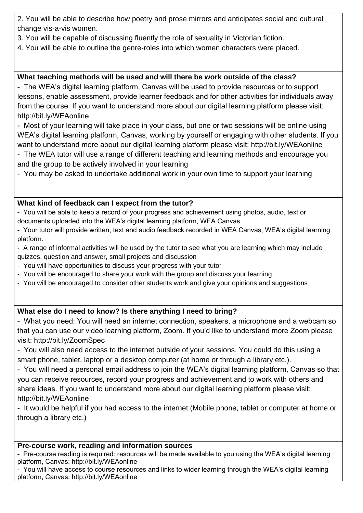2. You will be able to describe how poetry and prose mirrors and anticipates social and cultural change vis-a-vis women.

- 3. You will be capable of discussing fluently the role of sexuality in Victorian fiction.
- 4. You will be able to outline the genre-roles into which women characters were placed.

# **What teaching methods will be used and will there be work outside of the class?**

- The WEA's digital learning platform, Canvas will be used to provide resources or to support lessons, enable assessment, provide learner feedback and for other activities for individuals away from the course. If you want to understand more about our digital learning platform please visit: http://bit.ly/WEAonline

- Most of your learning will take place in your class, but one or two sessions will be online using WEA's digital learning platform, Canvas, working by yourself or engaging with other students. If you want to understand more about our digital learning platform please visit: http://bit.ly/WEAonline

- The WEA tutor will use a range of different teaching and learning methods and encourage you and the group to be actively involved in your learning
- You may be asked to undertake additional work in your own time to support your learning

# **What kind of feedback can I expect from the tutor?**

- You will be able to keep a record of your progress and achievement using photos, audio, text or documents uploaded into the WEA's digital learning platform, WEA Canvas.

- Your tutor will provide written, text and audio feedback recorded in WEA Canvas, WEA's digital learning platform.

- A range of informal activities will be used by the tutor to see what you are learning which may include quizzes, question and answer, small projects and discussion

- You will have opportunities to discuss your progress with your tutor
- You will be encouraged to share your work with the group and discuss your learning
- You will be encouraged to consider other students work and give your opinions and suggestions

# **What else do I need to know? Is there anything I need to bring?**

- What you need: You will need an internet connection, speakers, a microphone and a webcam so that you can use our video learning platform, Zoom. If you'd like to understand more Zoom please visit: http://bit.ly/ZoomSpec

- You will also need access to the internet outside of your sessions. You could do this using a smart phone, tablet, laptop or a desktop computer (at home or through a library etc.).

- You will need a personal email address to join the WEA's digital learning platform, Canvas so that you can receive resources, record your progress and achievement and to work with others and share ideas. If you want to understand more about our digital learning platform please visit: http://bit.ly/WEAonline

- It would be helpful if you had access to the internet (Mobile phone, tablet or computer at home or through a library etc.)

### **Pre-course work, reading and information sources**

- Pre-course reading is required: resources will be made available to you using the WEA's digital learning platform, Canvas: http://bit.ly/WEAonline

- You will have access to course resources and links to wider learning through the WEA's digital learning platform, Canvas: http://bit.ly/WEAonline